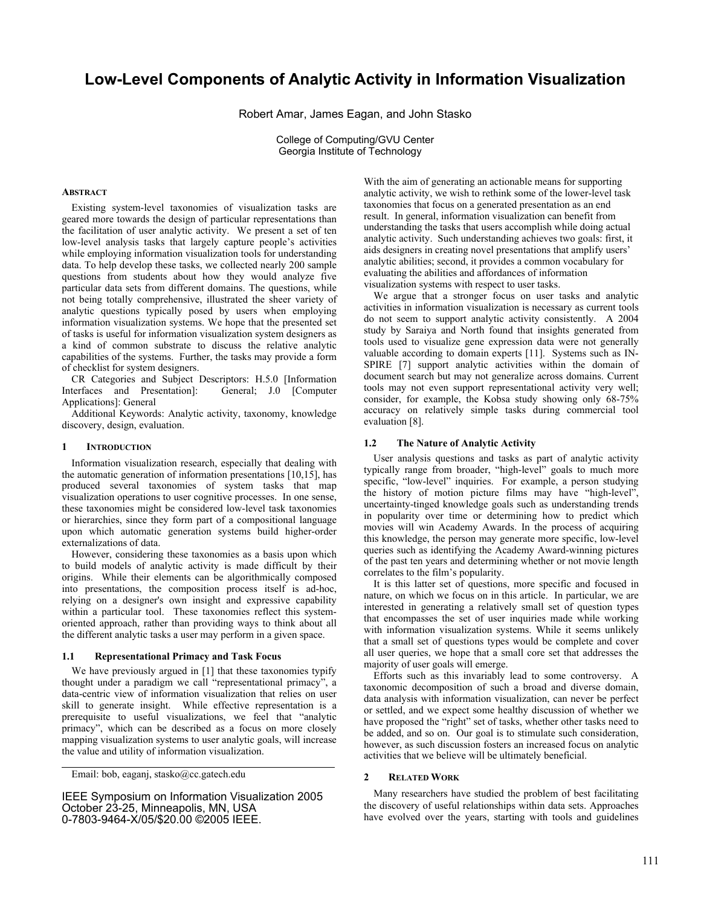# **Low-Level Components of Analytic Activity in Information Visualization**

Robert Amar, James Eagan, and John Stasko

College of Computing/GVU Center Georgia Institute of Technology

#### **ABSTRACT**

Existing system-level taxonomies of visualization tasks are geared more towards the design of particular representations than the facilitation of user analytic activity. We present a set of ten low-level analysis tasks that largely capture people's activities while employing information visualization tools for understanding data. To help develop these tasks, we collected nearly 200 sample questions from students about how they would analyze five particular data sets from different domains. The questions, while not being totally comprehensive, illustrated the sheer variety of analytic questions typically posed by users when employing information visualization systems. We hope that the presented set of tasks is useful for information visualization system designers as a kind of common substrate to discuss the relative analytic capabilities of the systems. Further, the tasks may provide a form of checklist for system designers.

CR Categories and Subject Descriptors: H.5.0 [Information Interfaces and Presentation]: General; J.0 [Computer Applications]: General

Additional Keywords: Analytic activity, taxonomy, knowledge discovery, design, evaluation.

## **1 INTRODUCTION**

Information visualization research, especially that dealing with the automatic generation of information presentations [10,15], has produced several taxonomies of system tasks that map visualization operations to user cognitive processes. In one sense, these taxonomies might be considered low-level task taxonomies or hierarchies, since they form part of a compositional language upon which automatic generation systems build higher-order externalizations of data.

However, considering these taxonomies as a basis upon which to build models of analytic activity is made difficult by their origins. While their elements can be algorithmically composed into presentations, the composition process itself is ad-hoc, relying on a designer's own insight and expressive capability within a particular tool. These taxonomies reflect this systemoriented approach, rather than providing ways to think about all the different analytic tasks a user may perform in a given space.

### **1.1 Representational Primacy and Task Focus**

We have previously argued in [1] that these taxonomies typify thought under a paradigm we call "representational primacy", a data-centric view of information visualization that relies on user skill to generate insight. While effective representation is a prerequisite to useful visualizations, we feel that "analytic primacy", which can be described as a focus on more closely mapping visualization systems to user analytic goals, will increase the value and utility of information visualization.

Email: bob, eaganj, stasko@cc.gatech.edu

IEEE Symposium on Information Visualization 2005 October 23-25, Minneapolis, MN, USA 0-7803-9464-X/05/\$20.00 ©2005 IEEE.

With the aim of generating an actionable means for supporting analytic activity, we wish to rethink some of the lower-level task taxonomies that focus on a generated presentation as an end result. In general, information visualization can benefit from understanding the tasks that users accomplish while doing actual analytic activity. Such understanding achieves two goals: first, it aids designers in creating novel presentations that amplify users' analytic abilities; second, it provides a common vocabulary for evaluating the abilities and affordances of information visualization systems with respect to user tasks.

We argue that a stronger focus on user tasks and analytic activities in information visualization is necessary as current tools do not seem to support analytic activity consistently. A 2004 study by Saraiya and North found that insights generated from tools used to visualize gene expression data were not generally valuable according to domain experts [11]. Systems such as IN-SPIRE [7] support analytic activities within the domain of document search but may not generalize across domains. Current tools may not even support representational activity very well; consider, for example, the Kobsa study showing only 68-75% accuracy on relatively simple tasks during commercial tool evaluation [8].

#### **1.2 The Nature of Analytic Activity**

User analysis questions and tasks as part of analytic activity typically range from broader, "high-level" goals to much more specific, "low-level" inquiries. For example, a person studying the history of motion picture films may have "high-level", uncertainty-tinged knowledge goals such as understanding trends in popularity over time or determining how to predict which movies will win Academy Awards. In the process of acquiring this knowledge, the person may generate more specific, low-level queries such as identifying the Academy Award-winning pictures of the past ten years and determining whether or not movie length correlates to the film's popularity.

It is this latter set of questions, more specific and focused in nature, on which we focus on in this article. In particular, we are interested in generating a relatively small set of question types that encompasses the set of user inquiries made while working with information visualization systems. While it seems unlikely that a small set of questions types would be complete and cover all user queries, we hope that a small core set that addresses the majority of user goals will emerge.

Efforts such as this invariably lead to some controversy. A taxonomic decomposition of such a broad and diverse domain, data analysis with information visualization, can never be perfect or settled, and we expect some healthy discussion of whether we have proposed the "right" set of tasks, whether other tasks need to be added, and so on. Our goal is to stimulate such consideration, however, as such discussion fosters an increased focus on analytic activities that we believe will be ultimately beneficial.

#### **2 RELATED WORK**

Many researchers have studied the problem of best facilitating the discovery of useful relationships within data sets. Approaches have evolved over the years, starting with tools and guidelines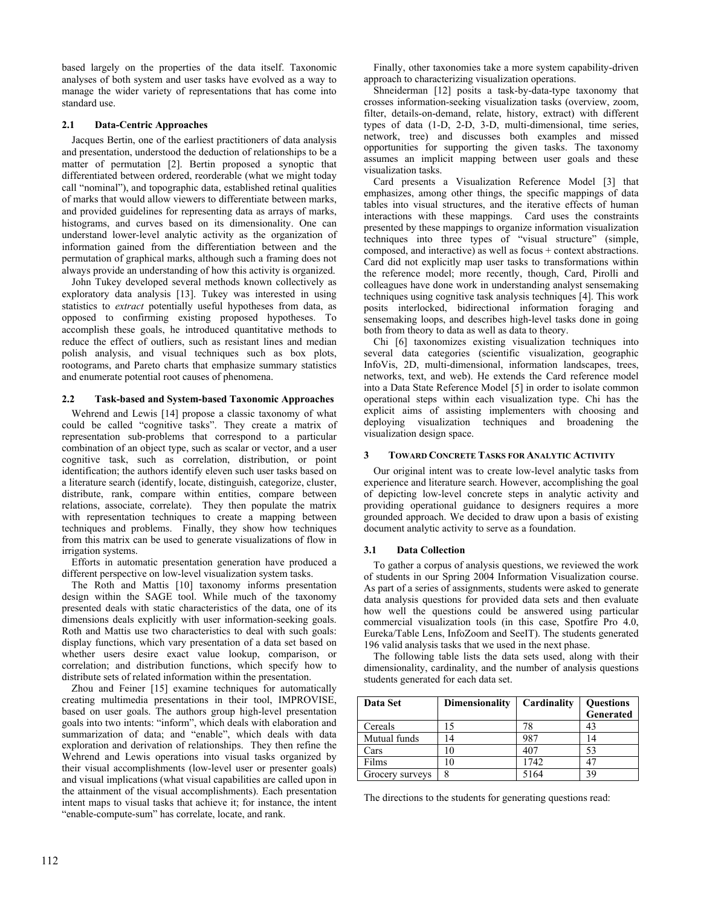based largely on the properties of the data itself. Taxonomic analyses of both system and user tasks have evolved as a way to manage the wider variety of representations that has come into standard use.

# **2.1 Data-Centric Approaches**

Jacques Bertin, one of the earliest practitioners of data analysis and presentation, understood the deduction of relationships to be a matter of permutation [2]. Bertin proposed a synoptic that differentiated between ordered, reorderable (what we might today call "nominal"), and topographic data, established retinal qualities of marks that would allow viewers to differentiate between marks, and provided guidelines for representing data as arrays of marks, histograms, and curves based on its dimensionality. One can understand lower-level analytic activity as the organization of information gained from the differentiation between and the permutation of graphical marks, although such a framing does not always provide an understanding of how this activity is organized.

John Tukey developed several methods known collectively as exploratory data analysis [13]. Tukey was interested in using statistics to *extract* potentially useful hypotheses from data, as opposed to confirming existing proposed hypotheses. To accomplish these goals, he introduced quantitative methods to reduce the effect of outliers, such as resistant lines and median polish analysis, and visual techniques such as box plots, rootograms, and Pareto charts that emphasize summary statistics and enumerate potential root causes of phenomena.

# **2.2 Task-based and System-based Taxonomic Approaches**

Wehrend and Lewis [14] propose a classic taxonomy of what could be called "cognitive tasks". They create a matrix of representation sub-problems that correspond to a particular combination of an object type, such as scalar or vector, and a user cognitive task, such as correlation, distribution, or point identification; the authors identify eleven such user tasks based on a literature search (identify, locate, distinguish, categorize, cluster, distribute, rank, compare within entities, compare between relations, associate, correlate). They then populate the matrix with representation techniques to create a mapping between techniques and problems. Finally, they show how techniques from this matrix can be used to generate visualizations of flow in irrigation systems.

Efforts in automatic presentation generation have produced a different perspective on low-level visualization system tasks.

The Roth and Mattis [10] taxonomy informs presentation design within the SAGE tool. While much of the taxonomy presented deals with static characteristics of the data, one of its dimensions deals explicitly with user information-seeking goals. Roth and Mattis use two characteristics to deal with such goals: display functions, which vary presentation of a data set based on whether users desire exact value lookup, comparison, or correlation; and distribution functions, which specify how to distribute sets of related information within the presentation.

Zhou and Feiner [15] examine techniques for automatically creating multimedia presentations in their tool, IMPROVISE, based on user goals. The authors group high-level presentation goals into two intents: "inform", which deals with elaboration and summarization of data; and "enable", which deals with data exploration and derivation of relationships. They then refine the Wehrend and Lewis operations into visual tasks organized by their visual accomplishments (low-level user or presenter goals) and visual implications (what visual capabilities are called upon in the attainment of the visual accomplishments). Each presentation intent maps to visual tasks that achieve it; for instance, the intent "enable-compute-sum" has correlate, locate, and rank.

Finally, other taxonomies take a more system capability-driven approach to characterizing visualization operations.

Shneiderman [12] posits a task-by-data-type taxonomy that crosses information-seeking visualization tasks (overview, zoom, filter, details-on-demand, relate, history, extract) with different types of data (1-D, 2-D, 3-D, multi-dimensional, time series, network, tree) and discusses both examples and missed opportunities for supporting the given tasks. The taxonomy assumes an implicit mapping between user goals and these visualization tasks.

Card presents a Visualization Reference Model [3] that emphasizes, among other things, the specific mappings of data tables into visual structures, and the iterative effects of human interactions with these mappings. Card uses the constraints presented by these mappings to organize information visualization techniques into three types of "visual structure" (simple, composed, and interactive) as well as focus + context abstractions. Card did not explicitly map user tasks to transformations within the reference model; more recently, though, Card, Pirolli and colleagues have done work in understanding analyst sensemaking techniques using cognitive task analysis techniques [4]. This work posits interlocked, bidirectional information foraging and sensemaking loops, and describes high-level tasks done in going both from theory to data as well as data to theory.

Chi [6] taxonomizes existing visualization techniques into several data categories (scientific visualization, geographic InfoVis, 2D, multi-dimensional, information landscapes, trees, networks, text, and web). He extends the Card reference model into a Data State Reference Model [5] in order to isolate common operational steps within each visualization type. Chi has the explicit aims of assisting implementers with choosing and deploying visualization techniques and broadening the visualization design space.

# **3 TOWARD CONCRETE TASKS FOR ANALYTIC ACTIVITY**

Our original intent was to create low-level analytic tasks from experience and literature search. However, accomplishing the goal of depicting low-level concrete steps in analytic activity and providing operational guidance to designers requires a more grounded approach. We decided to draw upon a basis of existing document analytic activity to serve as a foundation.

# **3.1 Data Collection**

To gather a corpus of analysis questions, we reviewed the work of students in our Spring 2004 Information Visualization course. As part of a series of assignments, students were asked to generate data analysis questions for provided data sets and then evaluate how well the questions could be answered using particular commercial visualization tools (in this case, Spotfire Pro 4.0, Eureka/Table Lens, InfoZoom and SeeIT). The students generated 196 valid analysis tasks that we used in the next phase.

The following table lists the data sets used, along with their dimensionality, cardinality, and the number of analysis questions students generated for each data set.

| Data Set        | Dimensionality | Cardinality | <b>Questions</b><br>Generated |
|-----------------|----------------|-------------|-------------------------------|
| Cereals         | 15             |             | 43                            |
| Mutual funds    | 14             | 987         | 14                            |
| Cars            | 10             | 407         | 53                            |
| Films           |                | 1742        | 47                            |
| Grocery surveys |                | 5164        | 39                            |

The directions to the students for generating questions read: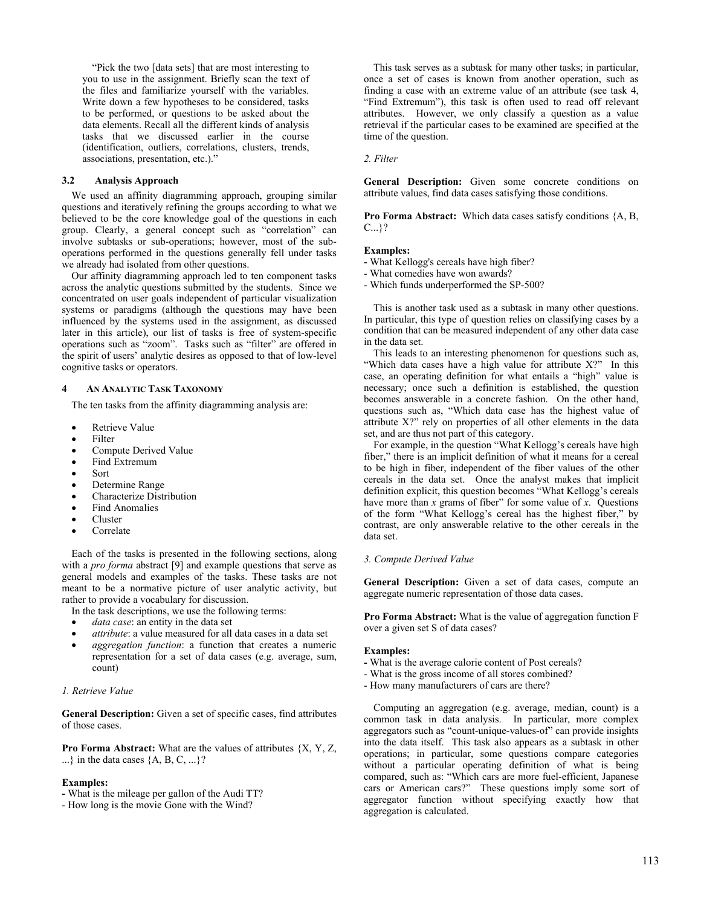"Pick the two [data sets] that are most interesting to you to use in the assignment. Briefly scan the text of the files and familiarize yourself with the variables. Write down a few hypotheses to be considered, tasks to be performed, or questions to be asked about the data elements. Recall all the different kinds of analysis tasks that we discussed earlier in the course (identification, outliers, correlations, clusters, trends, associations, presentation, etc.)."

# **3.2 Analysis Approach**

We used an affinity diagramming approach, grouping similar questions and iteratively refining the groups according to what we believed to be the core knowledge goal of the questions in each group. Clearly, a general concept such as "correlation" can involve subtasks or sub-operations; however, most of the suboperations performed in the questions generally fell under tasks we already had isolated from other questions.

Our affinity diagramming approach led to ten component tasks across the analytic questions submitted by the students. Since we concentrated on user goals independent of particular visualization systems or paradigms (although the questions may have been influenced by the systems used in the assignment, as discussed later in this article), our list of tasks is free of system-specific operations such as "zoom". Tasks such as "filter" are offered in the spirit of users' analytic desires as opposed to that of low-level cognitive tasks or operators.

#### **4 AN ANALYTIC TASK TAXONOMY**

The ten tasks from the affinity diagramming analysis are:

- Retrieve Value
- Filter
- Compute Derived Value
- Find Extremum
- Sort
- Determine Range
- Characterize Distribution
- **Find Anomalies**
- Cluster
- **Correlate**

Each of the tasks is presented in the following sections, along with a *pro forma* abstract [9] and example questions that serve as general models and examples of the tasks. These tasks are not meant to be a normative picture of user analytic activity, but rather to provide a vocabulary for discussion.

In the task descriptions, we use the following terms:

- *data case*: an entity in the data set
- *attribute*: a value measured for all data cases in a data set
- *aggregation function*: a function that creates a numeric representation for a set of data cases (e.g. average, sum, count)

# *1. Retrieve Value*

**General Description:** Given a set of specific cases, find attributes of those cases.

**Pro Forma Abstract:** What are the values of attributes {X, Y, Z, ...} in the data cases  ${A, B, C, ...}$ ?

## **Examples:**

- What is the mileage per gallon of the Audi TT?
- How long is the movie Gone with the Wind?

This task serves as a subtask for many other tasks; in particular, once a set of cases is known from another operation, such as finding a case with an extreme value of an attribute (see task 4, "Find Extremum"), this task is often used to read off relevant attributes. However, we only classify a question as a value retrieval if the particular cases to be examined are specified at the time of the question.

### *2. Filter*

**General Description:** Given some concrete conditions on attribute values, find data cases satisfying those conditions.

**Pro Forma Abstract:** Which data cases satisfy conditions {A, B, C...}?

# **Examples:**

**-** What Kellogg's cereals have high fiber?

- What comedies have won awards?
- Which funds underperformed the SP-500?

This is another task used as a subtask in many other questions. In particular, this type of question relies on classifying cases by a condition that can be measured independent of any other data case in the data set.

This leads to an interesting phenomenon for questions such as, "Which data cases have a high value for attribute X?" In this case, an operating definition for what entails a "high" value is necessary; once such a definition is established, the question becomes answerable in a concrete fashion. On the other hand, questions such as, "Which data case has the highest value of attribute X?" rely on properties of all other elements in the data set, and are thus not part of this category.

For example, in the question "What Kellogg's cereals have high fiber," there is an implicit definition of what it means for a cereal to be high in fiber, independent of the fiber values of the other cereals in the data set. Once the analyst makes that implicit definition explicit, this question becomes "What Kellogg's cereals have more than *x* grams of fiber" for some value of *x*. Questions of the form "What Kellogg's cereal has the highest fiber," by contrast, are only answerable relative to the other cereals in the data set.

### *3. Compute Derived Value*

**General Description:** Given a set of data cases, compute an aggregate numeric representation of those data cases.

**Pro Forma Abstract:** What is the value of aggregation function F over a given set S of data cases?

#### **Examples:**

- What is the average calorie content of Post cereals?
- What is the gross income of all stores combined?
- How many manufacturers of cars are there?

Computing an aggregation (e.g. average, median, count) is a common task in data analysis. In particular, more complex aggregators such as "count-unique-values-of" can provide insights into the data itself. This task also appears as a subtask in other operations; in particular, some questions compare categories without a particular operating definition of what is being compared, such as: "Which cars are more fuel-efficient, Japanese cars or American cars?" These questions imply some sort of aggregator function without specifying exactly how that aggregation is calculated.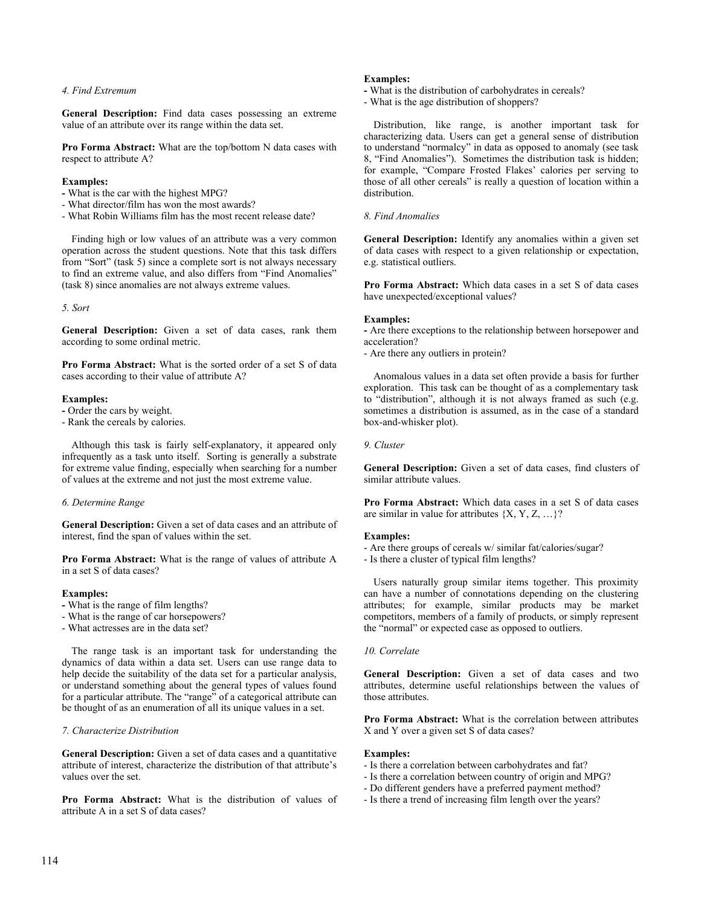### *4. Find Extremum*

**General Description:** Find data cases possessing an extreme value of an attribute over its range within the data set.

**Pro Forma Abstract:** What are the top/bottom N data cases with respect to attribute A?

# **Examples:**

- What is the car with the highest MPG?
- What director/film has won the most awards?
- What Robin Williams film has the most recent release date?

Finding high or low values of an attribute was a very common operation across the student questions. Note that this task differs from "Sort" (task 5) since a complete sort is not always necessary to find an extreme value, and also differs from "Find Anomalies" (task 8) since anomalies are not always extreme values.

*5. Sort* 

**General Description:** Given a set of data cases, rank them according to some ordinal metric.

**Pro Forma Abstract:** What is the sorted order of a set S of data cases according to their value of attribute A?

#### **Examples:**

**-** Order the cars by weight.

- Rank the cereals by calories.

Although this task is fairly self-explanatory, it appeared only infrequently as a task unto itself. Sorting is generally a substrate for extreme value finding, especially when searching for a number of values at the extreme and not just the most extreme value.

## *6. Determine Range*

**General Description:** Given a set of data cases and an attribute of interest, find the span of values within the set.

**Pro Forma Abstract:** What is the range of values of attribute A in a set S of data cases?

## **Examples:**

- What is the range of film lengths?
- What is the range of car horsepowers?
- What actresses are in the data set?

The range task is an important task for understanding the dynamics of data within a data set. Users can use range data to help decide the suitability of the data set for a particular analysis, or understand something about the general types of values found for a particular attribute. The "range" of a categorical attribute can be thought of as an enumeration of all its unique values in a set.

# *7. Characterize Distribution*

**General Description:** Given a set of data cases and a quantitative attribute of interest, characterize the distribution of that attribute's values over the set.

**Pro Forma Abstract:** What is the distribution of values of attribute A in a set S of data cases?

#### **Examples:**

- What is the distribution of carbohydrates in cereals?
- What is the age distribution of shoppers?

Distribution, like range, is another important task for characterizing data. Users can get a general sense of distribution to understand "normalcy" in data as opposed to anomaly (see task 8, "Find Anomalies"). Sometimes the distribution task is hidden; for example, "Compare Frosted Flakes' calories per serving to those of all other cereals" is really a question of location within a distribution.

# *8. Find Anomalies*

**General Description:** Identify any anomalies within a given set of data cases with respect to a given relationship or expectation, e.g. statistical outliers.

**Pro Forma Abstract:** Which data cases in a set S of data cases have unexpected/exceptional values?

### **Examples:**

**-** Are there exceptions to the relationship between horsepower and acceleration?

- Are there any outliers in protein?

Anomalous values in a data set often provide a basis for further exploration. This task can be thought of as a complementary task to "distribution", although it is not always framed as such (e.g. sometimes a distribution is assumed, as in the case of a standard box-and-whisker plot).

## *9. Cluster*

**General Description:** Given a set of data cases, find clusters of similar attribute values.

**Pro Forma Abstract:** Which data cases in a set S of data cases are similar in value for attributes  $\{X, Y, Z, \ldots\}$ ?

## **Examples:**

- Are there groups of cereals w/ similar fat/calories/sugar?
- Is there a cluster of typical film lengths?

Users naturally group similar items together. This proximity can have a number of connotations depending on the clustering attributes; for example, similar products may be market competitors, members of a family of products, or simply represent the "normal" or expected case as opposed to outliers.

#### *10. Correlate*

**General Description:** Given a set of data cases and two attributes, determine useful relationships between the values of those attributes.

**Pro Forma Abstract:** What is the correlation between attributes X and Y over a given set S of data cases?

### **Examples:**

- Is there a correlation between carbohydrates and fat?
- Is there a correlation between country of origin and MPG?
- Do different genders have a preferred payment method?
- Is there a trend of increasing film length over the years?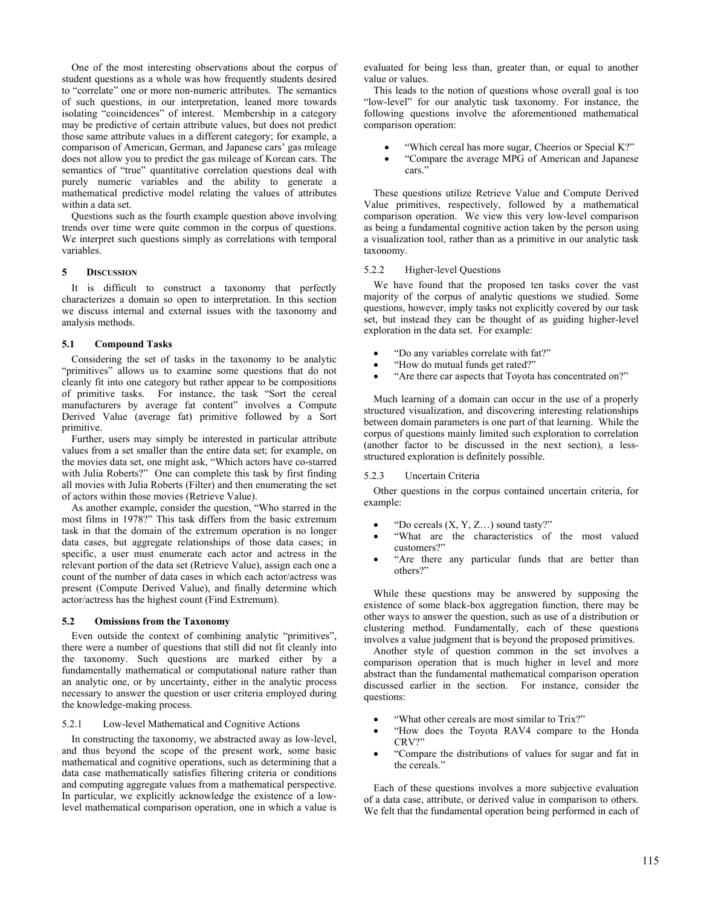One of the most interesting observations about the corpus of student questions as a whole was how frequently students desired to "correlate" one or more non-numeric attributes. The semantics of such questions, in our interpretation, leaned more towards isolating "coincidences" of interest. Membership in a category may be predictive of certain attribute values, but does not predict those same attribute values in a different category; for example, a comparison of American, German, and Japanese cars' gas mileage does not allow you to predict the gas mileage of Korean cars. The semantics of "true" quantitative correlation questions deal with purely numeric variables and the ability to generate a mathematical predictive model relating the values of attributes within a data set.

Questions such as the fourth example question above involving trends over time were quite common in the corpus of questions. We interpret such questions simply as correlations with temporal variables.

### **5 DISCUSSION**

It is difficult to construct a taxonomy that perfectly characterizes a domain so open to interpretation. In this section we discuss internal and external issues with the taxonomy and analysis methods.

### **5.1 Compound Tasks**

Considering the set of tasks in the taxonomy to be analytic "primitives" allows us to examine some questions that do not cleanly fit into one category but rather appear to be compositions of primitive tasks. For instance, the task "Sort the cereal manufacturers by average fat content" involves a Compute Derived Value (average fat) primitive followed by a Sort primitive.

Further, users may simply be interested in particular attribute values from a set smaller than the entire data set; for example, on the movies data set, one might ask, "Which actors have co-starred with Julia Roberts?" One can complete this task by first finding all movies with Julia Roberts (Filter) and then enumerating the set of actors within those movies (Retrieve Value).

As another example, consider the question, "Who starred in the most films in 1978?" This task differs from the basic extremum task in that the domain of the extremum operation is no longer data cases, but aggregate relationships of those data cases; in specific, a user must enumerate each actor and actress in the relevant portion of the data set (Retrieve Value), assign each one a count of the number of data cases in which each actor/actress was present (Compute Derived Value), and finally determine which actor/actress has the highest count (Find Extremum).

## **5.2 Omissions from the Taxonomy**

Even outside the context of combining analytic "primitives", there were a number of questions that still did not fit cleanly into the taxonomy. Such questions are marked either by a fundamentally mathematical or computational nature rather than an analytic one, or by uncertainty, either in the analytic process necessary to answer the question or user criteria employed during the knowledge-making process.

#### 5.2.1 Low-level Mathematical and Cognitive Actions

In constructing the taxonomy, we abstracted away as low-level, and thus beyond the scope of the present work, some basic mathematical and cognitive operations, such as determining that a data case mathematically satisfies filtering criteria or conditions and computing aggregate values from a mathematical perspective. In particular, we explicitly acknowledge the existence of a lowlevel mathematical comparison operation, one in which a value is evaluated for being less than, greater than, or equal to another value or values.

This leads to the notion of questions whose overall goal is too "low-level" for our analytic task taxonomy. For instance, the following questions involve the aforementioned mathematical comparison operation:

- "Which cereal has more sugar, Cheerios or Special K?"
- "Compare the average MPG of American and Japanese cars."

These questions utilize Retrieve Value and Compute Derived Value primitives, respectively, followed by a mathematical comparison operation. We view this very low-level comparison as being a fundamental cognitive action taken by the person using a visualization tool, rather than as a primitive in our analytic task taxonomy.

# 5.2.2 Higher-level Questions

We have found that the proposed ten tasks cover the vast majority of the corpus of analytic questions we studied. Some questions, however, imply tasks not explicitly covered by our task set, but instead they can be thought of as guiding higher-level exploration in the data set. For example:

- "Do any variables correlate with fat?"
- "How do mutual funds get rated?"
- "Are there car aspects that Toyota has concentrated on?"

Much learning of a domain can occur in the use of a properly structured visualization, and discovering interesting relationships between domain parameters is one part of that learning. While the corpus of questions mainly limited such exploration to correlation (another factor to be discussed in the next section), a lessstructured exploration is definitely possible.

#### 5.2.3 Uncertain Criteria

Other questions in the corpus contained uncertain criteria, for example:

- "Do cereals  $(X, Y, Z...)$  sound tasty?"
- "What are the characteristics of the most valued customers?"
- "Are there any particular funds that are better than others?"

While these questions may be answered by supposing the existence of some black-box aggregation function, there may be other ways to answer the question, such as use of a distribution or clustering method. Fundamentally, each of these questions involves a value judgment that is beyond the proposed primitives.

Another style of question common in the set involves a comparison operation that is much higher in level and more abstract than the fundamental mathematical comparison operation discussed earlier in the section. For instance, consider the questions:

- "What other cereals are most similar to Trix?"
- "How does the Toyota RAV4 compare to the Honda CRV?
- "Compare the distributions of values for sugar and fat in the cereals."

Each of these questions involves a more subjective evaluation of a data case, attribute, or derived value in comparison to others. We felt that the fundamental operation being performed in each of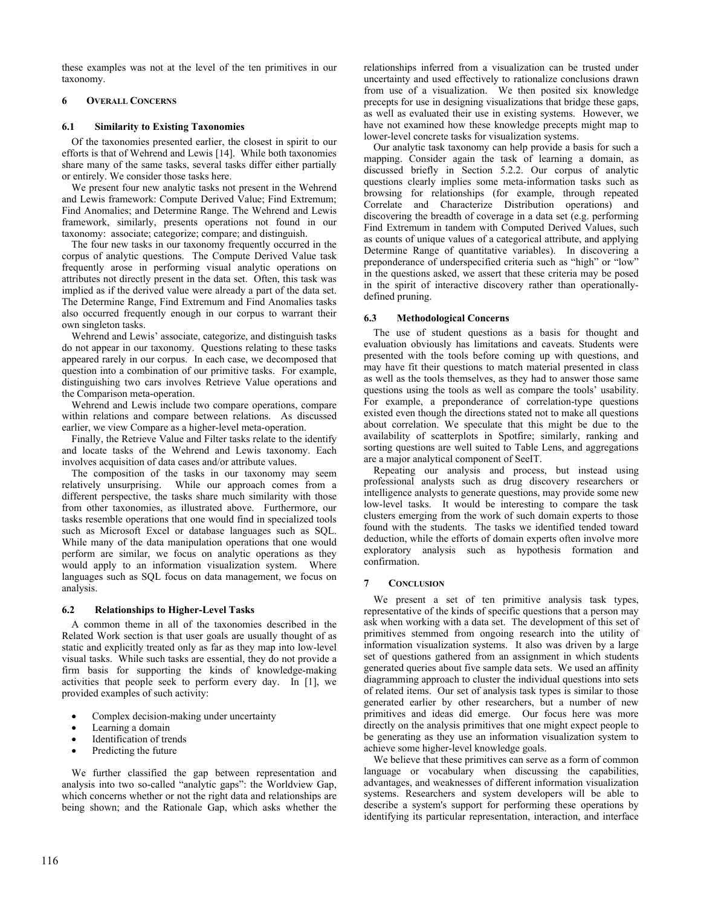these examples was not at the level of the ten primitives in our taxonomy.

# **6 OVERALL CONCERNS**

# **6.1 Similarity to Existing Taxonomies**

Of the taxonomies presented earlier, the closest in spirit to our efforts is that of Wehrend and Lewis [14]. While both taxonomies share many of the same tasks, several tasks differ either partially or entirely. We consider those tasks here.

We present four new analytic tasks not present in the Wehrend and Lewis framework: Compute Derived Value; Find Extremum; Find Anomalies; and Determine Range. The Wehrend and Lewis framework, similarly, presents operations not found in our taxonomy: associate; categorize; compare; and distinguish.

The four new tasks in our taxonomy frequently occurred in the corpus of analytic questions. The Compute Derived Value task frequently arose in performing visual analytic operations on attributes not directly present in the data set. Often, this task was implied as if the derived value were already a part of the data set. The Determine Range, Find Extremum and Find Anomalies tasks also occurred frequently enough in our corpus to warrant their own singleton tasks.

Wehrend and Lewis' associate, categorize, and distinguish tasks do not appear in our taxonomy. Questions relating to these tasks appeared rarely in our corpus. In each case, we decomposed that question into a combination of our primitive tasks. For example, distinguishing two cars involves Retrieve Value operations and the Comparison meta-operation.

Wehrend and Lewis include two compare operations, compare within relations and compare between relations. As discussed earlier, we view Compare as a higher-level meta-operation.

Finally, the Retrieve Value and Filter tasks relate to the identify and locate tasks of the Wehrend and Lewis taxonomy. Each involves acquisition of data cases and/or attribute values.

The composition of the tasks in our taxonomy may seem relatively unsurprising. While our approach comes from a different perspective, the tasks share much similarity with those from other taxonomies, as illustrated above. Furthermore, our tasks resemble operations that one would find in specialized tools such as Microsoft Excel or database languages such as SQL. While many of the data manipulation operations that one would perform are similar, we focus on analytic operations as they would apply to an information visualization system. Where languages such as SQL focus on data management, we focus on analysis.

# **6.2 Relationships to Higher-Level Tasks**

A common theme in all of the taxonomies described in the Related Work section is that user goals are usually thought of as static and explicitly treated only as far as they map into low-level visual tasks. While such tasks are essential, they do not provide a firm basis for supporting the kinds of knowledge-making activities that people seek to perform every day. In [1], we provided examples of such activity:

- Complex decision-making under uncertainty
- Learning a domain
- Identification of trends
- Predicting the future

We further classified the gap between representation and analysis into two so-called "analytic gaps": the Worldview Gap, which concerns whether or not the right data and relationships are being shown; and the Rationale Gap, which asks whether the relationships inferred from a visualization can be trusted under uncertainty and used effectively to rationalize conclusions drawn from use of a visualization. We then posited six knowledge precepts for use in designing visualizations that bridge these gaps, as well as evaluated their use in existing systems. However, we have not examined how these knowledge precepts might map to lower-level concrete tasks for visualization systems.

Our analytic task taxonomy can help provide a basis for such a mapping. Consider again the task of learning a domain, as discussed briefly in Section 5.2.2. Our corpus of analytic questions clearly implies some meta-information tasks such as browsing for relationships (for example, through repeated Correlate and Characterize Distribution operations) and discovering the breadth of coverage in a data set (e.g. performing Find Extremum in tandem with Computed Derived Values, such as counts of unique values of a categorical attribute, and applying Determine Range of quantitative variables). In discovering a preponderance of underspecified criteria such as "high" or "low" in the questions asked, we assert that these criteria may be posed in the spirit of interactive discovery rather than operationallydefined pruning.

# **6.3 Methodological Concerns**

The use of student questions as a basis for thought and evaluation obviously has limitations and caveats. Students were presented with the tools before coming up with questions, and may have fit their questions to match material presented in class as well as the tools themselves, as they had to answer those same questions using the tools as well as compare the tools' usability. For example, a preponderance of correlation-type questions existed even though the directions stated not to make all questions about correlation. We speculate that this might be due to the availability of scatterplots in Spotfire; similarly, ranking and sorting questions are well suited to Table Lens, and aggregations are a major analytical component of SeeIT.

Repeating our analysis and process, but instead using professional analysts such as drug discovery researchers or intelligence analysts to generate questions, may provide some new low-level tasks. It would be interesting to compare the task clusters emerging from the work of such domain experts to those found with the students. The tasks we identified tended toward deduction, while the efforts of domain experts often involve more exploratory analysis such as hypothesis formation and confirmation.

## **7 CONCLUSION**

We present a set of ten primitive analysis task types, representative of the kinds of specific questions that a person may ask when working with a data set. The development of this set of primitives stemmed from ongoing research into the utility of information visualization systems. It also was driven by a large set of questions gathered from an assignment in which students generated queries about five sample data sets. We used an affinity diagramming approach to cluster the individual questions into sets of related items. Our set of analysis task types is similar to those generated earlier by other researchers, but a number of new primitives and ideas did emerge. Our focus here was more directly on the analysis primitives that one might expect people to be generating as they use an information visualization system to achieve some higher-level knowledge goals.

We believe that these primitives can serve as a form of common language or vocabulary when discussing the capabilities, advantages, and weaknesses of different information visualization systems. Researchers and system developers will be able to describe a system's support for performing these operations by identifying its particular representation, interaction, and interface